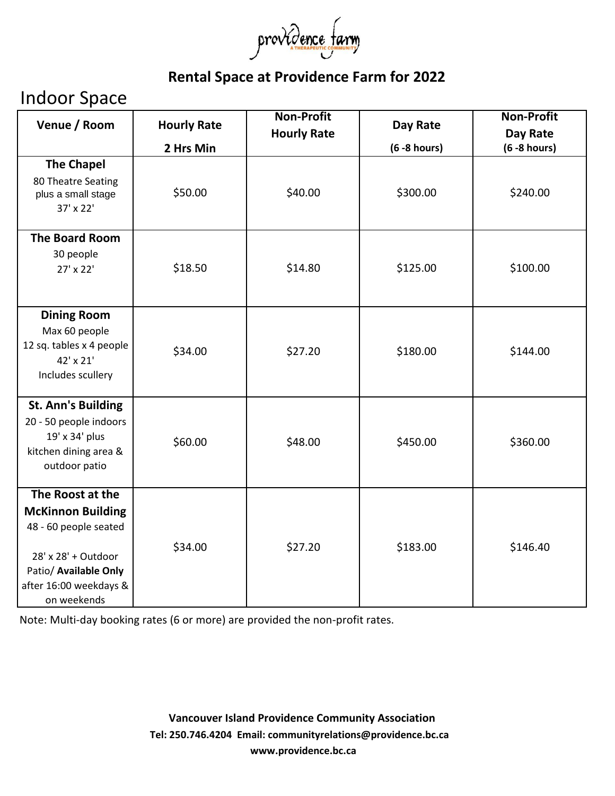

### **Rental Space at Providence Farm for 2022**

## Indoor Space

| Venue / Room                                                                                                                                                   | <b>Hourly Rate</b> | <b>Non-Profit</b>  | Day Rate        | <b>Non-Profit</b>           |
|----------------------------------------------------------------------------------------------------------------------------------------------------------------|--------------------|--------------------|-----------------|-----------------------------|
|                                                                                                                                                                | 2 Hrs Min          | <b>Hourly Rate</b> | $(6 - 8$ hours) | Day Rate<br>$(6 - 8 hours)$ |
| <b>The Chapel</b><br>80 Theatre Seating<br>plus a small stage<br>$37' \times 22'$                                                                              | \$50.00            | \$40.00            | \$300.00        | \$240.00                    |
| <b>The Board Room</b><br>30 people<br>27' x 22'                                                                                                                | \$18.50            | \$14.80            | \$125.00        | \$100.00                    |
| <b>Dining Room</b><br>Max 60 people<br>12 sq. tables x 4 people<br>42' x 21'<br>Includes scullery                                                              | \$34.00            | \$27.20            | \$180.00        | \$144.00                    |
| <b>St. Ann's Building</b><br>20 - 50 people indoors<br>19' x 34' plus<br>kitchen dining area &<br>outdoor patio                                                | \$60.00            | \$48.00            | \$450.00        | \$360.00                    |
| The Roost at the<br><b>McKinnon Building</b><br>48 - 60 people seated<br>28' x 28' + Outdoor<br>Patio/ Available Only<br>after 16:00 weekdays &<br>on weekends | \$34.00            | \$27.20            | \$183.00        | \$146.40                    |

Note: Multi-day booking rates (6 or more) are provided the non-profit rates.

**[www.providence.bc.ca](http://www.providence.bc.ca/) Vancouver Island Providence Community Association Tel: 250.746.4204 Email: communityrelations@providence.bc.ca**